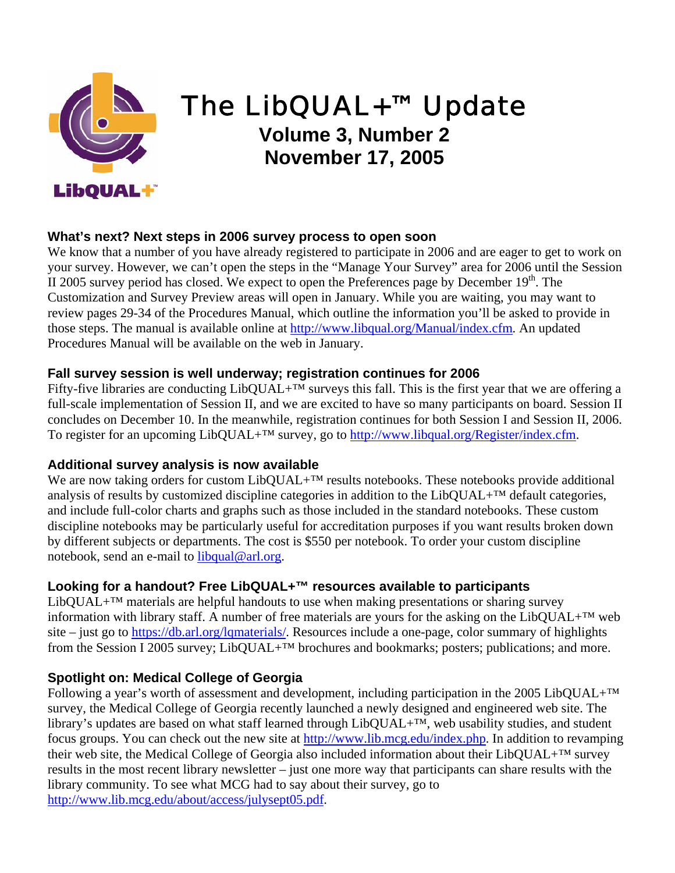

# The LibQUAL+™ Update

**Volume 3, Number 2 November 17, 2005** 

### **What's next? Next steps in 2006 survey process to open soon**

We know that a number of you have already registered to participate in 2006 and are eager to get to work on your survey. However, we can't open the steps in the "Manage Your Survey" area for 2006 until the Session II 2005 survey period has closed. We expect to open the Preferences page by December  $19<sup>th</sup>$ . The Customization and Survey Preview areas will open in January. While you are waiting, you may want to review pages 29-34 of the Procedures Manual, which outline the information you'll be asked to provide in those steps. The manual is available online at [http://www.libqual.org/Manual/index.cfm](http://old.libqual.org/Manual/index.cfm). An updated Procedures Manual will be available on the web in January.

#### **Fall survey session is well underway; registration continues for 2006**

Fifty-five libraries are conducting LibQUAL+™ surveys this fall. This is the first year that we are offering a full-scale implementation of Session II, and we are excited to have so many participants on board. Session II concludes on December 10. In the meanwhile, registration continues for both Session I and Session II, 2006. To register for an upcoming LibQUAL+<sup>™</sup> survey, go to [http://www.libqual.org/Register/index.cfm.](http://old.libqual.org/Register/index.cfm)

#### **Additional survey analysis is now available**

We are now taking orders for custom LibQUAL+<sup>™</sup> results notebooks. These notebooks provide additional analysis of results by customized discipline categories in addition to the LibQUAL+™ default categories, and include full-color charts and graphs such as those included in the standard notebooks. These custom discipline notebooks may be particularly useful for accreditation purposes if you want results broken down by different subjects or departments. The cost is \$550 per notebook. To order your custom discipline notebook, send an e-mail to [libqual@arl.org](mailto:libqual@arl.org).

### **Looking for a handout? Free LibQUAL+™ resources available to participants**

 $LibOUAL+<sup>TM</sup> materials are helpful handouts to use when making presentations or sharing survey$ information with library staff. A number of free materials are yours for the asking on the LibQUAL+™ web site – just go to [https://db.arl.org/lqmaterials/.](https://db.arl.org/lqmaterials/) Resources include a one-page, color summary of highlights from the Session I 2005 survey; LibQUAL+™ brochures and bookmarks; posters; publications; and more.

### **Spotlight on: Medical College of Georgia**

Following a year's worth of assessment and development, including participation in the 2005 LibQUAL+<sup>™</sup> survey, the Medical College of Georgia recently launched a newly designed and engineered web site. The library's updates are based on what staff learned through LibQUAL+™, web usability studies, and student focus groups. You can check out the new site at [http://www.lib.mcg.edu/index.php.](http://www.lib.mcg.edu/index.php) In addition to revamping their web site, the Medical College of Georgia also included information about their LibQUAL+™ survey results in the most recent library newsletter – just one more way that participants can share results with the library community. To see what MCG had to say about their survey, go to [http://www.lib.mcg.edu/about/access/julysept05.pdf.](http://www.lib.mcg.edu/about/access/julysept05.pdf)